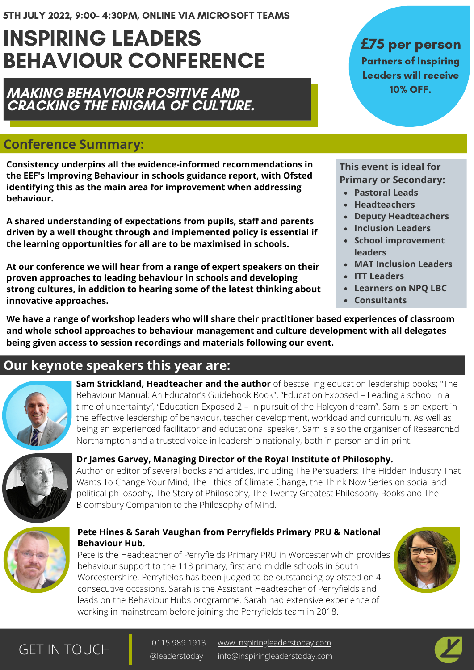# INSPIRING LEADERS BEHAVIOUR CONFERENCE

**MAKING BEHAVIOUR POSITIVE AND CRACKING THE ENIGMA OF CULTURE.**

## **Conference Summary:**

**Consistency underpins all the evidence-informed recommendations in the EEF's Improving Behaviour in schools guidance report, with Ofsted identifying this as the main area for improvement when addressing behaviour.**

**A shared understanding of expectations from pupils, staff and parents driven by a well thought through and implemented policy is essential if the learning opportunities for all are to be maximised in schools.**

**At our conference we will hear from a range of expert speakers on their proven approaches to leading behaviour in schools and developing strong cultures, in addition to hearing some of the latest thinking about innovative approaches.**

## **£**75 per person Partners of Inspiring Leaders will receive 10% OFF.

**This event is ideal for Primary or Secondary:**

- **Pastoral Leads**
- **Headteachers**
- **Deputy Headteachers**
- **Inclusion Leaders**
- **School improvement leaders**
- **MAT Inclusion Leaders**
- **ITT Leaders**
- **Learners on NPQ LBC**
- **Consultants**

**We have a range of workshop leaders who will share their practitioner based experiences of classroom and whole school approaches to behaviour management and culture development with all delegates being given access to session recordings and materials following our event.**

# **Our keynote speakers this year are:**



**Sam Strickland, Headteacher and the author** of bestselling education leadership books; "The Behaviour Manual: An Educator's Guidebook Book", "Education Exposed – Leading a school in a time of uncertainty", "Education Exposed 2 – In pursuit of the Halcyon dream". Sam is an expert in the effective leadership of behaviour, teacher development, workload and curriculum. As well as being an experienced facilitator and educational speaker, Sam is also the organiser of ResearchEd Northampton and a trusted voice in leadership nationally, both in person and in print.



#### **Dr James Garvey, Managing Director of the Royal Institute of Philosophy.**

Author or editor of several books and articles, including The Persuaders: The Hidden Industry That Wants To Change Your Mind, The Ethics of Climate Change, the Think Now Series on social and political philosophy, The Story of Philosophy, The Twenty Greatest Philosophy Books and The Bloomsbury Companion to the Philosophy of Mind.



#### **Pete Hines & Sarah Vaughan from Perryfields Primary PRU & National Behaviour Hub.**

Pete is the Headteacher of Perryfields Primary PRU in Worcester which provides behaviour support to the 113 primary, first and middle schools in South Worcestershire. Perryfields has been judged to be outstanding by ofsted on 4 consecutive occasions. Sarah is the Assistant Headteacher of Perryfields and leads on the Behaviour Hubs programme. Sarah had extensive experience of working in mainstream before joining the Perryfields team in 2018.



# GET IN TOUCH <sup>0115 989 1913</sup>

[www.inspiringleaderstoday.com](http://inspiringleaderstoday.com/) info@inspiringleaderstoday.com